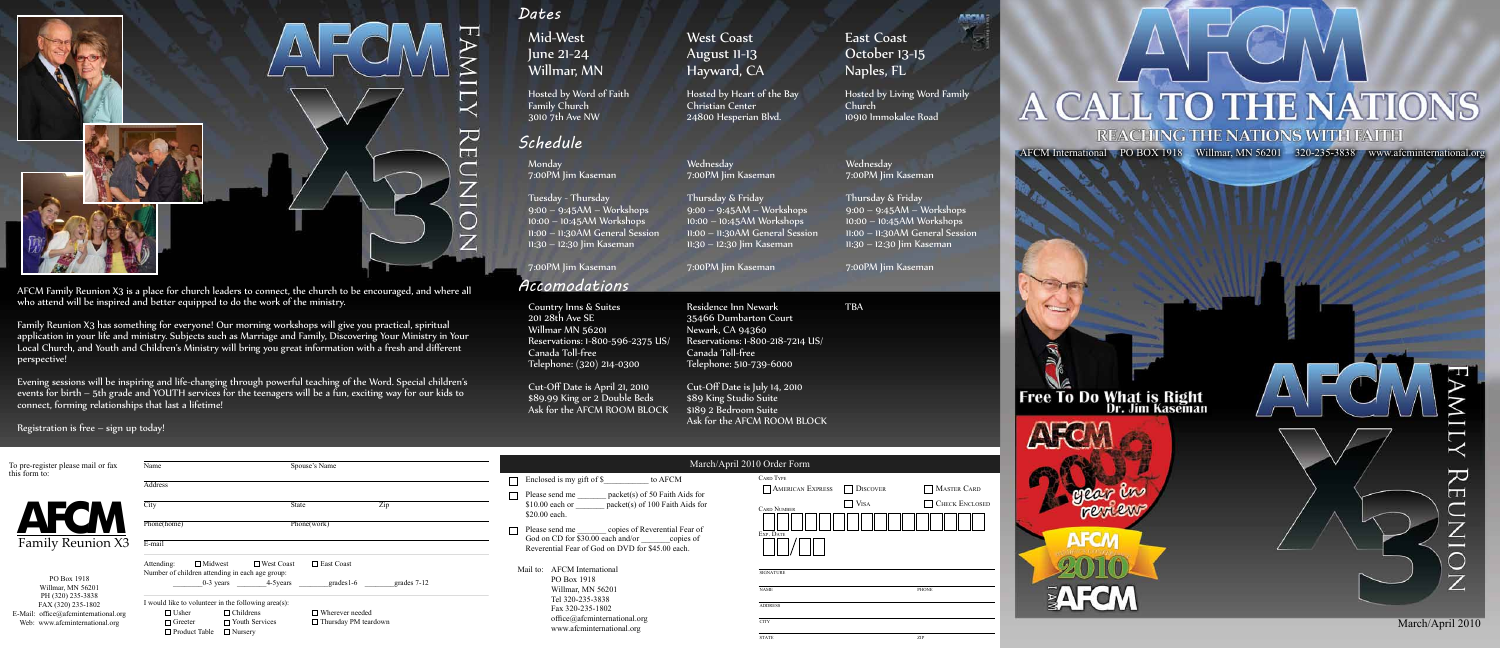AFCM International PO BOX 1918 Willmar, MN 56201 320-235-3838 www.afcminternational.org

**Free To Do What is Right**<br>Dr. Jim Kaseman

ARC georgen review **AFCN** 

EAFCM

 $\overline{\rm{L}}$  $\rm{R}E$  $\overline{\mathsf{C}}$  $\overline{Z}$ Ē  $\frac{1}{2}$ 



| To pre-register please mail or fax                                                                                | Spouse's Name<br>Name                                                                                                                                                                               |                                                                                                                               | March/Ap                                                                                                                                                  |  |
|-------------------------------------------------------------------------------------------------------------------|-----------------------------------------------------------------------------------------------------------------------------------------------------------------------------------------------------|-------------------------------------------------------------------------------------------------------------------------------|-----------------------------------------------------------------------------------------------------------------------------------------------------------|--|
| this form to:                                                                                                     | Address                                                                                                                                                                                             |                                                                                                                               | Enclosed is my gift of \$<br>to AFCM                                                                                                                      |  |
|                                                                                                                   | State<br>City                                                                                                                                                                                       | Zip                                                                                                                           | packet(s) of 50 Faith Aids for<br>Please send me<br>$$10.00$ each or<br>packet(s) of 100 Faith Aids for<br>\$20.00 each.                                  |  |
| <b>Family Reunion X3</b>                                                                                          | Phone(home)<br>Phone(work)<br>E-mail                                                                                                                                                                |                                                                                                                               | Please send me _________ copies of Reverential Fear of<br>God on CD for \$30.00 each and/or copies of<br>Reverential Fear of God on DVD for \$45.00 each. |  |
| PO Box 1918<br>Willmar, MN 56201                                                                                  | $\Box$ Midwest<br>□ West Coast<br>Attending:<br>Number of children attending in each age group:<br>0-3 years 4-5 years                                                                              | $\Box$ East Coast<br><b>AFCM</b> International<br>Mail to:<br>PO Box 1918<br>grades $1-6$<br>grades 7-12<br>Willmar, MN 56201 |                                                                                                                                                           |  |
| PH (320) 235-3838<br>FAX (320) 235-1802<br>E-Mail: office@afcminternational.org<br>Web: www.afcminternational.org | I would like to volunteer in the following area(s):<br>$\Box$ Childrens<br>$\Box$ Usher<br>$\Box$ Wherever needed<br>$\Box$ Greeter<br>$\Box$ Youth Services<br>$\Box$ Product Table $\Box$ Nursery | $\Box$ Thursday PM teardown                                                                                                   | Tel 320-235-3838<br>Fax 320-235-1802<br>office@afcminternational.org<br>www.afcminternational.org                                                         |  |

Residence Inn Newark 35466 Dumbarton Court Newark, CA 94360 Reservations: 1-800-218-7214 US/ Canada Toll-free Telephone: 510-739-6000 Cut-Off Date is July 14, 2010

\$89 King Studio Suite \$189 2 Bedroom Suite Ask for the AFCM ROOM BLOCK

Country Inns & Suites TBA Residence Inn Newark TBA 201 28th Ave SE Willmar MN 56201 Reservations: 1-800-596-2375 US/ Canada Toll-free Telephone: (320) 214-0300



AFCM Family Reunion X3 is a place for church leaders to connect, the church to be encouraged, and where all *Accomodations* who attend will be inspired and better equipped to do the work of the ministry.

### *Dates*

Mid-West June 21-24 Willmar, MN

Hosted by Word of Faith Family Church 3010 7th Ave NW

West Coast August 11-13 Hayward, CA

Hosted by Heart of the Bay Christian Center 24800 Hesperian Blvd.

East Coast October 13-15 Naples, FL

Hosted by Living Word Family Church 10910 Immokalee Road

**AbraA** 

光

Cut-Off Date is April 21, 2010 \$89.99 King or 2 Double Beds Ask for the AFCM ROOM BLOCK

Monday 7:00PM Jim Kaseman

Tuesday - Thursday 9:00 – 9:45AM – Workshops 10:00 – 10:45AM Workshops 11:00 – 11:30AM General Session 11:30 – 12:30 Jim Kaseman

7:00PM Jim Kaseman

Wednesday 7:00PM Jim Kaseman

7:00PM Jim Kaseman

Thursday & Friday 9:00 – 9:45AM – Workshops 10:00 – 10:45AM Workshops 11:00 – 11:30AM General Session 11:30 – 12:30 Jim Kaseman Thursday & Friday  $9:00 - 9:45AM - Workshops$ 10:00 – 10:45AM Workshops 11:00 – 11:30AM General Session 11:30 – 12:30 Jim Kaseman

Wednesday

7:00PM Jim Kaseman

#### oril 2010 Order Form

| <b>CARD TYPE</b>        |                 |                       |
|-------------------------|-----------------|-----------------------|
| <b>AMERICAN EXPRESS</b> | <b>DISCOVER</b> | <b>MASTER CARD</b>    |
| <b>CARD NUMBER</b>      | <b>VISA</b>     | <b>CHECK ENCLOSED</b> |
| EXP. DATE               |                 |                       |
|                         |                 |                       |
| <b>SIGNATURE</b>        |                 |                       |
| <b>NAME</b>             |                 | PHONE                 |
| <b>ADDRESS</b>          |                 |                       |
| <b>CITY</b>             |                 |                       |
| <b>STATE</b>            |                 | ZIP                   |

# A CALL TO THE NATIONS **REACHING THE NATIONS WITH FAITH**

7:00PM Jim Kaseman

## *Schedule*

Family Reunion X3 has something for everyone! Our morning workshops will give you practical, spiritual application in your life and ministry. Subjects such as Marriage and Family, Discovering Your Ministry in Your Local Church, and Youth and Children's Ministry will bring you great information with a fresh and different perspective!

Evening sessions will be inspiring and life-changing through powerful teaching of the Word. Special children's events for birth – 5th grade and YOUTH services for the teenagers will be a fun, exciting way for our kids to connect, forming relationships that last a lifetime!

Registration is free – sign up today!